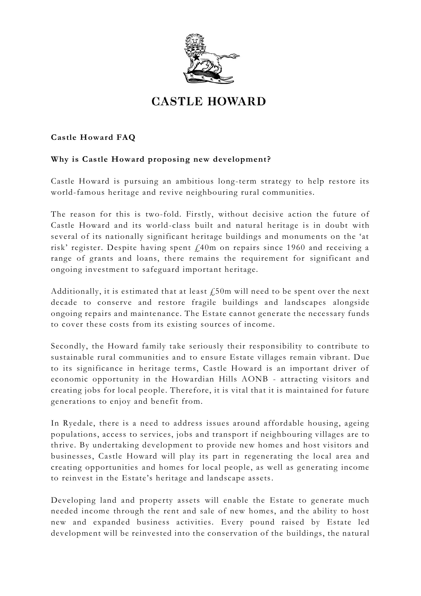

# **CASTLE HOWARD**

## **Castle Howard FAQ**

## **Why is Castle Howard proposing new development?**

Castle Howard is pursuing an ambitious long-term strategy to help restore its world-famous heritage and revive neighbouring rural communities.

The reason for this is two-fold. Firstly, without decisive action the future of Castle Howard and its world-class built and natural heritage is in doubt with several of its nationally significant heritage buildings and monuments on the 'at risk' register. Despite having spent £40m on repairs since 1960 and receiving a range of grants and loans, there remains the requirement for significant and ongoing investment to safeguard important heritage.

Additionally, it is estimated that at least  $\ell$ 50m will need to be spent over the next decade to conserve and restore fragile buildings and landscapes alongside ongoing repairs and maintenance. The Estate cannot generate the necessary funds to cover these costs from its existing sources of income.

Secondly, the Howard family take seriously their responsibility to contribute to sustainable rural communities and to ensure Estate villages remain vibrant. Due to its significance in heritage terms, Castle Howard is an important driver of economic opportunity in the Howardian Hills AONB - attracting visitors and creating jobs for local people. Therefore, it is vital that it is maintained for future generations to enjoy and benefit from.

In Ryedale, there is a need to address issues around affordable housing, ageing populations, access to services, jobs and transport if neighbouring villages are to thrive. By undertaking development to provide new homes and host visitors and businesses, Castle Howard will play its part in regenerating the local area and creating opportunities and homes for local people, as well as generating income to reinvest in the Estate's heritage and landscape assets.

Developing land and property assets will enable the Estate to generate much needed income through the rent and sale of new homes, and the ability to host new and expanded business activities. Every pound raised by Estate led development will be reinvested into the conservation of the buildings, the natural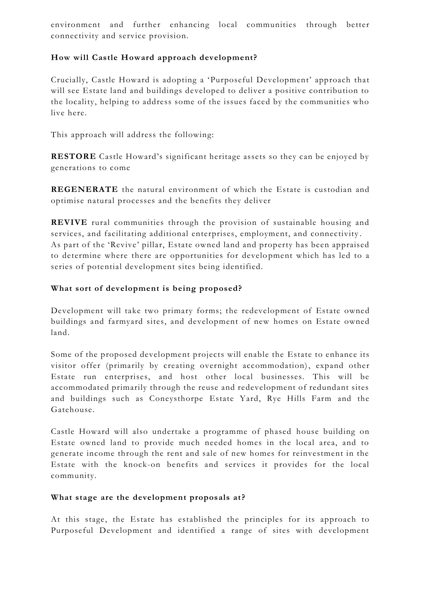environment and further enhancing local communities through better connectivity and service provision.

## **How will Castle Howard approach development?**

Crucially, Castle Howard is adopting a 'Purposeful Development' approach that will see Estate land and buildings developed to deliver a positive contribution to the locality, helping to address some of the issues faced by the communities who live here.

This approach will address the following:

**RESTORE** Castle Howard's significant heritage assets so they can be enjoyed by generations to come

**REGENERATE** the natural environment of which the Estate is custodian and optimise natural processes and the benefits they deliver

**REVIVE** rural communities through the provision of sustainable housing and services, and facilitating additional enterprises, employment, and connectivity . As part of the 'Revive' pillar, Estate owned land and property has been appraised to determine where there are opportunities for develo pment which has led to a series of potential development sites being identified.

### **What sort of development is being proposed?**

Development will take two primary forms; the redevelopment of Estate owned buildings and farmyard sites, and development of new homes on Estate owned land.

Some of the proposed development projects will enable the Estate to enhance its visitor offer (primarily by creating overnight accommodation), expand other Estate run enterprises, and host other local businesses. This will be accommodated primarily through the reuse and redevelopment of redundant sites and buildings such as Coneysthorpe Estate Yard, Rye Hills Farm and the Gatehouse.

Castle Howard will also undertake a programme of phased house building on Estate owned land to provide much needed homes in the local area, and to generate income through the rent and sale of new homes for reinvestment in the Estate with the knock-on benefits and services it provides for the local community.

#### What stage are the development proposals at?

At this stage, the Estate has established the principles for its approach to Purposeful Development and identified a range of sites with development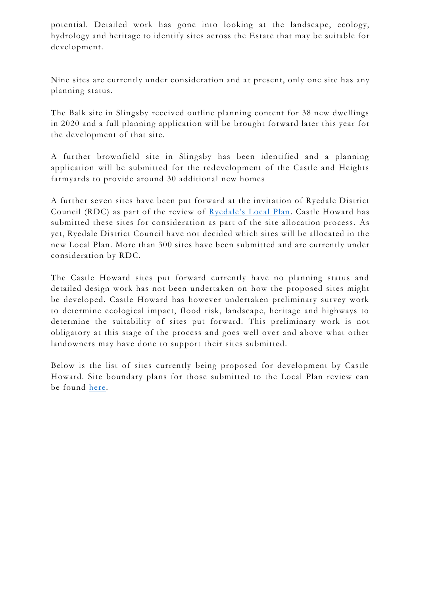potential. Detailed work has gone into looking at the landscape, ecology, hydrology and heritage to identify sites across the Estate that may be suitable for development.

Nine sites are currently under consideration and at present, only one site has any planning status.

The Balk site in Slingsby received outline planning content for 38 new dwellings in 2020 and a full planning application will be brought forward later this year for the development of that site.

A further brownfield site in Slingsby has been identified and a planning application will be submitted for the redevelopment of the Castle and Heights farmyards to provide around 30 additional new homes

A further seven sites have been put forward at the invitation of Ryedale District Council (RDC) as part of the review of [Ryedale's Local Plan](about:blank). Castle Howard has submitted these sites for consideration as part of the site allocation process. As yet, Ryedale District Council have not decided which sites will be allocated in the new Local Plan. More than 300 sites have been submitted and are currently under consideration by RDC.

The Castle Howard sites put forward currently have no planning status and detailed design work has not been undertaken on how the proposed sites might be developed. Castle Howard has however undertaken preliminary survey work to determine ecological impact, flood risk, landscape, heritage and highways to determine the suitability of sites put forward. This preliminary work is not obligatory at this stage of the process and goes well over and above what other landowners may have done to support their sites submitted.

Below is the list of sites currently being proposed for development by Castle Howard. Site boundary plans for those submitted to the Local Plan review can be found [here.](about:blank)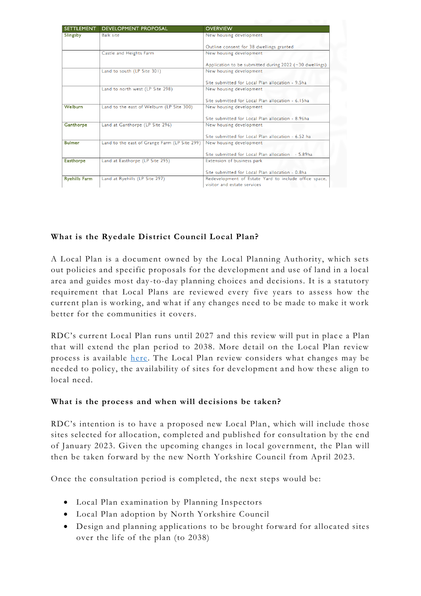| <b>SETTLEMENT</b>    | <b>DEVELOPMENT PROPOSAL</b>                   | <b>OVERVIEW</b>                                           |
|----------------------|-----------------------------------------------|-----------------------------------------------------------|
| Slingsby             | <b>Balk site</b>                              | New housing development                                   |
|                      |                                               | Outline consent for 38 dwellings granted                  |
|                      | Castle and Heights Farm                       | New housing development                                   |
|                      |                                               | Application to be submitted during $2022$ (~30 dwellings) |
|                      | Land to south (LP Site 301)                   | New housing development                                   |
|                      |                                               | Site submitted for Local Plan allocation - 9.5ha          |
|                      | Land to north west (LP Site 298)              | New housing development                                   |
|                      |                                               | Site submitted for Local Plan allocation - 6.15ha         |
| Welburn              | Land to the east of Welburn (LP Site 300)     | New housing development                                   |
|                      |                                               | Site submitted for Local Plan allocation - 8.96ha         |
| Ganthorpe            | Land at Ganthorpe (LP Site 296)               | New housing development                                   |
|                      |                                               | Site submitted for Local Plan allocation - 6.52 ha        |
| <b>Bulmer</b>        | Land to the east of Grange Farm (LP Site 299) | New housing development                                   |
|                      |                                               | Site submitted for Local Plan allocation - 5.89ha         |
| <b>Easthorpe</b>     | Land at Easthorpe (LP Site 295)               | Extension of business park                                |
|                      |                                               | Site submitted for Local Plan allocation - 0.8ha          |
| <b>Ryehills Farm</b> | Land at Ryehills (LP Site 297)                | Redevelopment of Estate Yard to include office space,     |
|                      |                                               | visitor and estate services                               |

## **What is the Ryedale District Council Local Plan?**

A Local Plan is a document owned by the Local Planning Authority, which sets out policies and specific proposals for the development and use of land in a local area and guides most day -to-day planning choices and decisions. It is a statutory requirement that Local Plans are reviewed every five years to assess how the current plan is working, and what if any changes need to be made to make it work better for the communities it covers.

RDC's current Local Plan runs until 2027 and this review will put in place a Plan that will extend the plan period to 2038. More detail on the Local Plan review process is available [here.](about:blank) The Local Plan review considers what changes may be needed to policy, the availability of sites for development a nd how these align to local need.

#### **What is the process and when will decisions be taken?**

RDC's intention is to have a proposed new Local Plan, which will include those sites selected for allocation, completed and published for consultation by the end of January 2023. Given the upcoming changes in local government, the Plan will then be taken forward by the new North Yorkshire Council from April 2023.

Once the consultation period is completed, the next steps would be:

- Local Plan examination by Planning Inspectors
- Local Plan adoption by North Yorkshire Council
- Design and planning applications to be brought forward for allocated sites over the life of the plan (to 2038)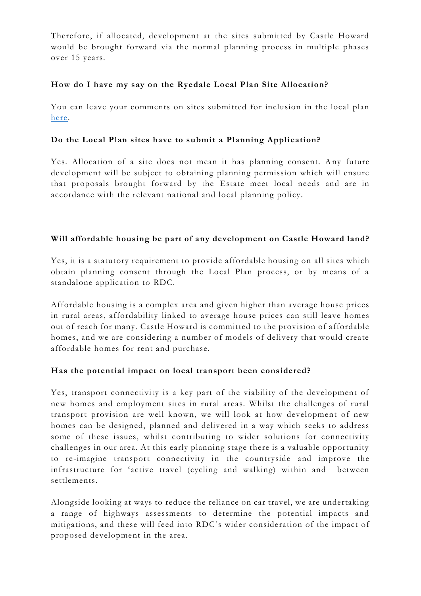Therefore, if allocated, development at the sites submitted by Castle Howard would be brought forward via the normal planning process in multiple phases over 15 years.

### **How do I have my say on the Ryedale Local Plan Site Allocation?**

You can leave your comments on sites submitted for inclusion in the local plan [here.](about:blank)

## **Do the Local Plan sites have to submit a Planning Application?**

Yes. Allocation of a site does not mean it has planning consent. Any future development will be subject to obtaining planning permission which will ensure that proposals brought forward by the Estate meet local needs and are in accordance with the relevant national and local planning policy.

## **Will affordable housing be part of any development on Castle Howard land?**

Yes, it is a statutory requirement to provide affordable housing on all sites which obtain planning consent through the Local Plan process, or by means of a standalone application to RDC.

Affordable housing is a complex area and given higher than average house prices in rural areas, affordability linked to average house prices can still leave homes out of reach for many. Castle Howard is committed to the provision of affordable homes, and we are considering a number of models of delivery that would create affordable homes for rent and purchase.

## **Has the potential impact on local transport been considered?**

Yes, transport connectivity is a key part of the viability of the development of new homes and employment sites in rural areas. Whilst the challenges of rural transport provision are well known, we will look at how development of new homes can be designed, planned and delivered in a way which seeks to address some of these issues, whilst contributing to wider solutions for connectivity challenges in our area. At this early planning stage there is a valuable opportunity to re-imagine transport connectivity in the countryside and improve the infrastructure for 'active travel (cycling and walking) within and between settlements.

Alongside looking at ways to reduce the reliance on car travel, we are undertaking a range of highways assessments to determine the potential impacts and mitigations, and these will feed into RDC's wider consideration of the impact of proposed development in the area.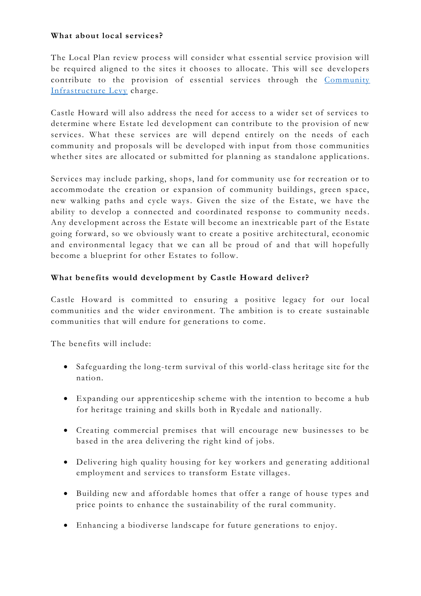### **What about local services?**

The Local Plan review process will consider what essential service provision will be required aligned to the sites it chooses to allocate. This will see developers contribute to the provision of essential services through the Community [Infrastructure Levy](about:blank) charge.

Castle Howard will also address the need for access to a wider set of services to determine where Estate led development can contribute to the provision of new services. What these services are will depend entirely on the needs of each community and proposals will be developed with input from those communities whether sites are allocated or submitted for planning as standalone applications.

Services may include parking, shops, land for community use for recreation or to accommodate the creation or expansion of community buildings, green space, new walking paths and cycle ways. Given the size of the Estate, we have the ability to develop a connected and coordinated response to community needs. Any development across the Estate will become an inextricable part of the Estate going forward, so we obviously want to create a positive architectural, economic and environmental legacy that we can all be proud of and that will hopefully become a blueprint for other Estates to follow.

### **What benefits would development by Castle Howard deliver?**

Castle Howard is committed to ensuring a positive legacy for our local communities and the wider environment. The ambition is to create sustainable communities that will endure for generations to come.

The benefits will include:

- Safeguarding the long-term survival of this world-class heritage site for the nation.
- Expanding our apprenticeship scheme with the intention to become a hub for heritage training and skills both in Ryedale and nationally.
- Creating commercial premises that will encourage new businesses to be based in the area delivering the right kind of jobs.
- Delivering high quality housing for key workers and generating additional employment and services to transform Estate villages.
- Building new and affordable homes that offer a range of house types and price points to enhance the sustainability of the rural community.
- Enhancing a biodiverse landscape for future generations to enjoy.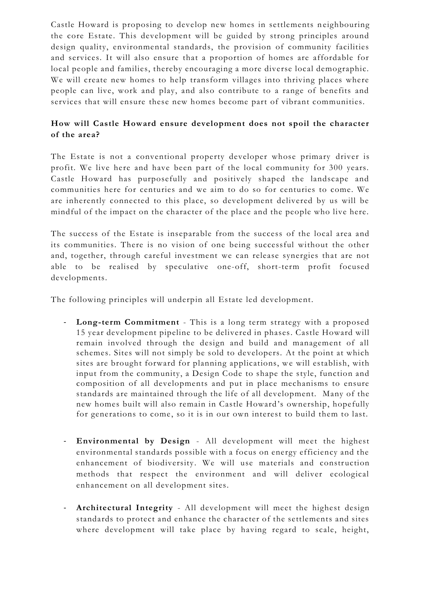Castle Howard is proposing to develop new homes in settlements n eighbouring the core Estate. This development will be guided by strong principles around design quality, environmental standards, the provision of community facilities and services. It will also ensure that a proportion of homes are affordable for local people and families, thereby encouraging a more diverse local demographic. We will create new homes to help transform villages into thriving places where people can live, work and play, and also contribute to a range of benefits and services that will ensure these new homes become part of vibrant communities.

## **How will Castle Howard ensure development does not spoil the character of the area?**

The Estate is not a conventional property developer whose primary driver is profit. We live here and have been part of the local community for 300 years. Castle Howard has purposefully and positively shaped the landscape and communities here for centuries and we aim to do so for centuries to come. We are inherently connected to this place, so development delivered by us will be mindful of the impact on the character of the place and the people who live here.

The success of the Estate is inseparable from the success of the local area and its communities. There is no vision of one being successful without the other and, together, through careful investment we can release synergies that are not able to be realised by speculative one-off, short-term profit focused developments.

The following principles will underpin all Estate led development.

- **Long-term Commitment** This is a long term strategy with a proposed 15 year development pipeline to be delivered in phases. Castle Howard will remain involved through the design and build and management of all schemes. Sites will not simply be sold to developers. At the point at which sites are brought forward for planning applications, we will establish, with input from the community, a Design Code to shape the style, function and composition of all developments and put in place mechanisms to ensure standards are maintained through the life of all development. Many of the new homes built will also remain in Castle Howard 's ownership, hopefully for generations to come, so it is in our own interest to build them to last.
- **Environmental by Design** All development will meet the highest environmental standards possible with a focus on energy efficiency and the enhancement of biodiversity. We will use materials and construction methods that respect the environment and will deliver ecological enhancement on all development sites.
- **Architectural Integrity**  All development will meet the highest design standards to protect and enhance the character of the settlements and sites where development will take place by having regard to scale, height,